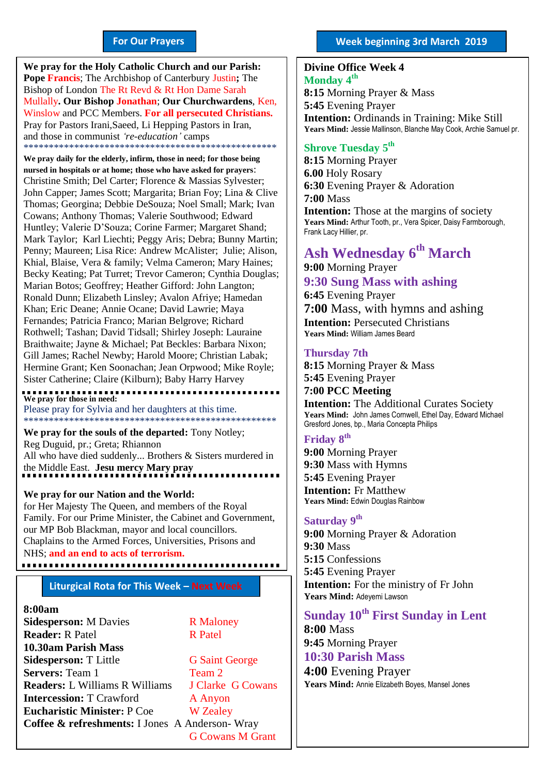#### **For Our Prayers**

arted Mullally**. Our Bishop Jonathan**; **Our Churchwardens**, Ken, **We pray for the Holy Catholic Church and our Parish: Pope Francis**; The Archbishop of Canterbury Justin**;** The Bishop of London The Rt Revd & Rt Hon Dame Sarah Winslow and PCC Members. **For all persecuted Christians.** Pray for Pastors Irani,Saeed, Li Hepping Pastors in Iran, and those in communist *'re-education'* camps \*\*\*\*\*\*\*\*\*\*\*\*\*\*\*\*\*\*\*\*\*\*\*\*\*\*\*\*\*\*\*\*\*\*\*\*\*\*\*\*\*\*\*\*\*\*\*\*\*\*

**We pray daily for the elderly, infirm, those in need; for those being nursed in hospitals or at home; those who have asked for prayers**: Christine Smith; Del Carter; Florence & Massias Sylvester; John Capper; James Scott; Margarita; Brian Foy; Lina & Clive Thomas; Georgina; Debbie DeSouza; Noel Small; Mark; Ivan Cowans; Anthony Thomas; Valerie Southwood; Edward Huntley; Valerie D'Souza; Corine Farmer; Margaret Shand; Mark Taylor; Karl Liechti; Peggy Aris; Debra; Bunny Martin; Penny; Maureen; Lisa Rice: Andrew McAlister; Julie; Alison, Khial, Blaise, Vera & family; Velma Cameron; Mary Haines; Becky Keating; Pat Turret; Trevor Cameron; Cynthia Douglas; Marian Botos; Geoffrey; Heather Gifford: John Langton; Ronald Dunn; Elizabeth Linsley; Avalon Afriye; Hamedan Khan; Eric Deane; Annie Ocane; David Lawrie; Maya Fernandes; Patricia Franco; Marian Belgrove; Richard Rothwell; Tashan; David Tidsall; Shirley Joseph: Lauraine Braithwaite; Jayne & Michael; Pat Beckles: Barbara Nixon; Gill James; Rachel Newby; Harold Moore; Christian Labak; Hermine Grant; Ken Soonachan; Jean Orpwood; Mike Royle; Sister Catherine; Claire (Kilburn); Baby Harry Harvey

**We pray for those in need:** Please pray for Sylvia and her daughters at this time. \*\*\*\*\*\*\*\*\*\*\*\*\*\*\*\*\*\*\*\*\*\*\*\*\*\*\*\*\*\*\*\*\*\*\*\*\*\*\*\*\*\*\*\*\*\*\*\*\*\*

**We pray for the souls of the departed:** Tony Notley; Reg Duguid, pr.; Greta; Rhiannon All who have died suddenly... Brothers & Sisters murdered in the Middle East. **Jesu mercy Mary pray**

#### **We pray for our Nation and the World:**

for Her Majesty The Queen, and members of the Royal Family. For our Prime Minister, the Cabinet and Government, our MP Bob Blackman, mayor and local councillors. Chaplains to the Armed Forces, Universities, Prisons and NHS; **and an end to acts of terrorism.** 

#### **Liturgical Rota for This Week – Next Week**

#### **8:00am**

**Sidesperson:** M Davies R Maloney **Reader:** R Patel R Patel **10.30am Parish Mass Sidesperson:** T Little G Saint George **Servers:** Team 1 Team 2 **Readers:** L Williams R Williams J Clarke G Cowans **Intercession:** T Crawford A Anyon **Eucharistic Minister:** P Coe W Zealey **Coffee & refreshments:** I Jones A Anderson- Wray

G Cowans M Grant

#### **Week beginning 3rd March 2019**

#### **Divine Office Week 4 Monday 4 th**

**8:15** Morning Prayer & Mass **5:45** Evening Prayer **Intention:** Ordinands in Training: Mike Still **Years Mind:** Jessie Mallinson, Blanche May Cook, Archie Samuel pr.

### **Shrove Tuesday 5 th**

**8:15** Morning Prayer **6.00** Holy Rosary **6:30** Evening Prayer & Adoration **7:00** Mass **Intention:** Those at the margins of society **Years Mind:** Arthur Tooth, pr., Vera Spicer, Daisy Farmborough, Frank Lacy Hillier, pr.

# **Ash Wednesday 6 th March**

**9:00** Morning Prayer **9:30 Sung Mass with ashing 6:45** Evening Prayer **7:00** Mass, with hymns and ashing **Intention: Persecuted Christians Years Mind:** William James Beard

#### **Thursday 7th**

**8:15** Morning Prayer & Mass **5:45** Evening Prayer **7:00 PCC Meeting Intention:** The Additional Curates Society Years Mind: John James Comwell, Ethel Day, Edward Michael Gresford Jones, bp., Maria Concepta Philips

# **Friday 8 th**

**9:00** Morning Prayer **9:30** Mass with Hymns **5:45** Evening Prayer **Intention:** Fr Matthew **Years Mind:** Edwin Douglas Rainbow

### **Saturday 9 th**

**9:00** Morning Prayer & Adoration **9:30** Mass **5:15** Confessions **5:45** Evening Prayer **Intention:** For the ministry of Fr John **Years Mind:** Adeyemi Lawson

# **Sunday 10th First Sunday in Lent**

**8:00** Mass **9:45** Morning Prayer **10:30 Parish Mass** 

**4:00** Evening Prayer **Years Mind:** Annie Elizabeth Boyes, Mansel Jones